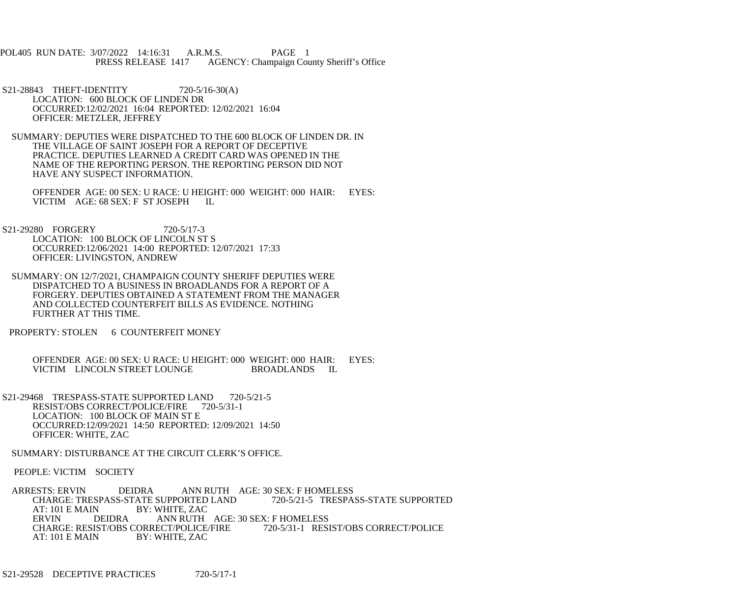POL405 RUN DATE: 3/07/2022 14:16:31 A.R.M.S. PAGE 1<br>PRESS RELEASE 1417 AGENCY: Champaign Cou AGENCY: Champaign County Sheriff's Office

- S21-28843 THEFT-IDENTITY 720-5/16-30(A) LOCATION: 600 BLOCK OF LINDEN DR OCCURRED:12/02/2021 16:04 REPORTED: 12/02/2021 16:04 OFFICER: METZLER, JEFFREY
- SUMMARY: DEPUTIES WERE DISPATCHED TO THE 600 BLOCK OF LINDEN DR. IN THE VILLAGE OF SAINT JOSEPH FOR A REPORT OF DECEPTIVE PRACTICE. DEPUTIES LEARNED A CREDIT CARD WAS OPENED IN THE NAME OF THE REPORTING PERSON. THE REPORTING PERSON DID NOT HAVE ANY SUSPECT INFORMATION.

 OFFENDER AGE: 00 SEX: U RACE: U HEIGHT: 000 WEIGHT: 000 HAIR: EYES: VICTIM AGE: 68 SEX: F ST JOSEPH IL

- S21-29280 FORGERY 720-5/17-3 LOCATION: 100 BLOCK OF LINCOLN ST S OCCURRED:12/06/2021 14:00 REPORTED: 12/07/2021 17:33 OFFICER: LIVINGSTON, ANDREW
- SUMMARY: ON 12/7/2021, CHAMPAIGN COUNTY SHERIFF DEPUTIES WERE DISPATCHED TO A BUSINESS IN BROADLANDS FOR A REPORT OF A FORGERY. DEPUTIES OBTAINED A STATEMENT FROM THE MANAGER AND COLLECTED COUNTERFEIT BILLS AS EVIDENCE. NOTHING FURTHER AT THIS TIME.
- PROPERTY: STOLEN 6 COUNTERFEIT MONEY

OFFENDER AGE: 00 SEX: U RACE: U HEIGHT: 000 WEIGHT: 000 HAIR: EYES:<br>VICTIM LINCOLN STREET LOUNGE BROADLANDS IL VICTIM LINCOLN STREET LOUNGE

- S21-29468 TRESPASS-STATE SUPPORTED LAND 720-5/21-5 RESIST/OBS CORRECT/POLICE/FIRE 720-5/31-1 LOCATION: 100 BLOCK OF MAIN ST E OCCURRED:12/09/2021 14:50 REPORTED: 12/09/2021 14:50 OFFICER: WHITE, ZAC
- SUMMARY: DISTURBANCE AT THE CIRCUIT CLERK'S OFFICE.

PEOPLE: VICTIM SOCIETY

ARRESTS: ERVIN DEIDRA ANN RUTH AGE: 30 SEX: F HOMELESS<br>CHARGE: TRESPASS-STATE SUPPORTED LAND 720-5/21-5 TRESPASS-STATE SUPPORTED CHARGE: TRESPASS-STATE SUPPORTED LAND<br>AT: 101 E MAIN BY: WHITE. ZAC BY: WHITE, ZAC ERVIN DEIDRA ANN RUTH AGE: 30 SEX: F HOMELESS<br>CHARGE: RESIST/OBS CORRECT/POLICE/FIRE 720-5/31-1 RESIST/OBS CORRECT/POLICE CHARGE: RESIST/OBS CORRECT/POLICE/FIRE<br>AT: 101 E MAIN BY: WHITE. ZAC BY: WHITE, ZAC

S21-29528 DECEPTIVE PRACTICES 720-5/17-1